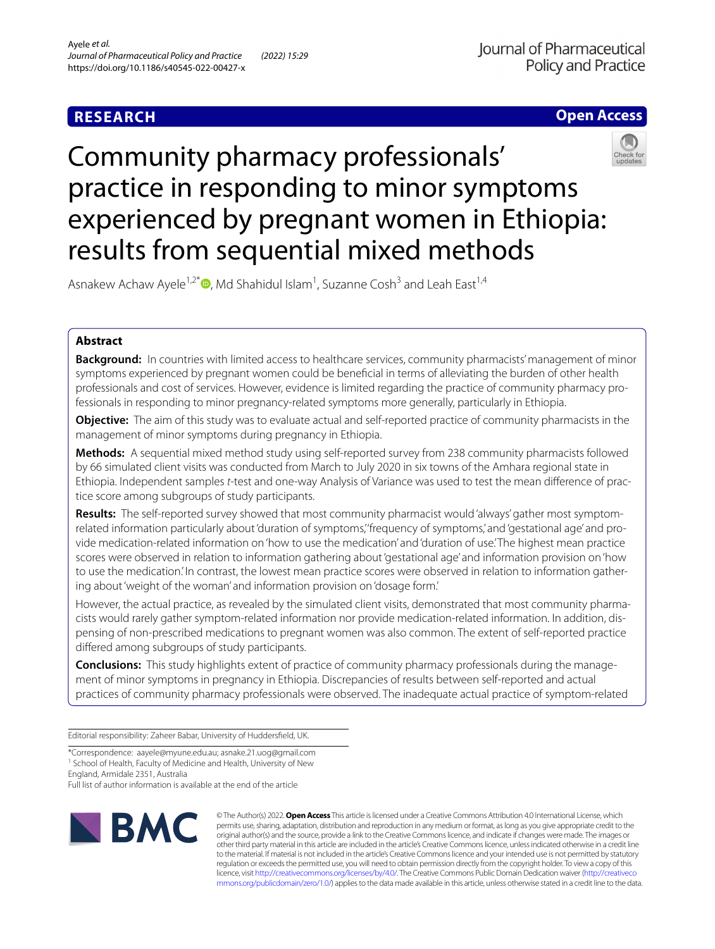## **RESEARCH**



# Community pharmacy professionals' practice in responding to minor symptoms experienced by pregnant women in Ethiopia: results from sequential mixed methods



Asnakew Achaw Ayele<sup>1,2\*</sup><sup>D</sup>[,](http://orcid.org/0000-0001-7837-7228) Md Shahidul Islam<sup>1</sup>, Suzanne Cosh<sup>3</sup> and Leah East<sup>1,4</sup>

## **Abstract**

**Background:** In countries with limited access to healthcare services, community pharmacists' management of minor symptoms experienced by pregnant women could be benefcial in terms of alleviating the burden of other health professionals and cost of services. However, evidence is limited regarding the practice of community pharmacy professionals in responding to minor pregnancy-related symptoms more generally, particularly in Ethiopia.

**Objective:** The aim of this study was to evaluate actual and self-reported practice of community pharmacists in the management of minor symptoms during pregnancy in Ethiopia.

**Methods:** A sequential mixed method study using self-reported survey from 238 community pharmacists followed by 66 simulated client visits was conducted from March to July 2020 in six towns of the Amhara regional state in Ethiopia. Independent samples *t*-test and one-way Analysis of Variance was used to test the mean diference of practice score among subgroups of study participants.

**Results:** The self-reported survey showed that most community pharmacist would 'always' gather most symptomrelated information particularly about 'duration of symptoms,' 'frequency of symptoms,' and 'gestational age' and provide medication-related information on 'how to use the medication' and 'duration of use.' The highest mean practice scores were observed in relation to information gathering about 'gestational age' and information provision on 'how to use the medication.' In contrast, the lowest mean practice scores were observed in relation to information gathering about 'weight of the woman' and information provision on 'dosage form.'

However, the actual practice, as revealed by the simulated client visits, demonstrated that most community pharmacists would rarely gather symptom-related information nor provide medication-related information. In addition, dispensing of non-prescribed medications to pregnant women was also common. The extent of self-reported practice difered among subgroups of study participants.

**Conclusions:** This study highlights extent of practice of community pharmacy professionals during the management of minor symptoms in pregnancy in Ethiopia. Discrepancies of results between self-reported and actual practices of community pharmacy professionals were observed. The inadequate actual practice of symptom-related

Editorial responsibility: Zaheer Babar, University of Huddersfeld, UK.

\*Correspondence: aayele@myune.edu.au; asnake.21.uog@gmail.com

<sup>1</sup> School of Health, Faculty of Medicine and Health, University of New

England, Armidale 2351, Australia

Full list of author information is available at the end of the article



© The Author(s) 2022. **Open Access** This article is licensed under a Creative Commons Attribution 4.0 International License, which permits use, sharing, adaptation, distribution and reproduction in any medium or format, as long as you give appropriate credit to the original author(s) and the source, provide a link to the Creative Commons licence, and indicate if changes were made. The images or other third party material in this article are included in the article's Creative Commons licence, unless indicated otherwise in a credit line to the material. If material is not included in the article's Creative Commons licence and your intended use is not permitted by statutory regulation or exceeds the permitted use, you will need to obtain permission directly from the copyright holder. To view a copy of this licence, visit [http://creativecommons.org/licenses/by/4.0/.](http://creativecommons.org/licenses/by/4.0/) The Creative Commons Public Domain Dedication waiver ([http://creativeco](http://creativecommons.org/publicdomain/zero/1.0/) [mmons.org/publicdomain/zero/1.0/](http://creativecommons.org/publicdomain/zero/1.0/)) applies to the data made available in this article, unless otherwise stated in a credit line to the data.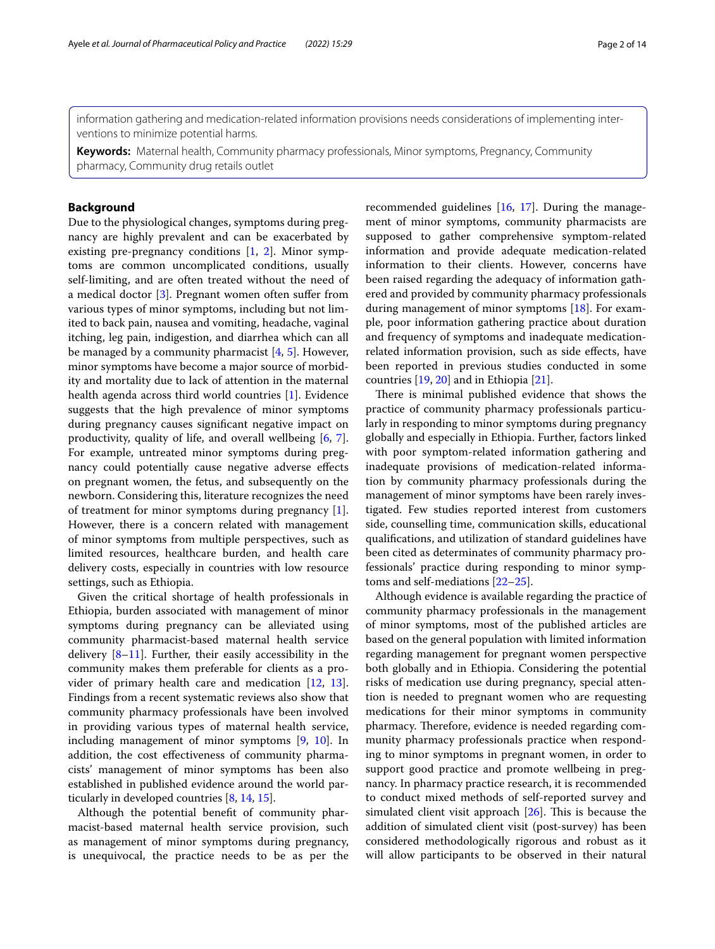information gathering and medication-related information provisions needs considerations of implementing interventions to minimize potential harms.

**Keywords:** Maternal health, Community pharmacy professionals, Minor symptoms, Pregnancy, Community pharmacy, Community drug retails outlet

## **Background**

Due to the physiological changes, symptoms during pregnancy are highly prevalent and can be exacerbated by existing pre-pregnancy conditions [\[1](#page-12-0), [2\]](#page-12-1). Minor symptoms are common uncomplicated conditions, usually self-limiting, and are often treated without the need of a medical doctor [\[3\]](#page-12-2). Pregnant women often sufer from various types of minor symptoms, including but not limited to back pain, nausea and vomiting, headache, vaginal itching, leg pain, indigestion, and diarrhea which can all be managed by a community pharmacist  $[4, 5]$  $[4, 5]$  $[4, 5]$  $[4, 5]$ . However, minor symptoms have become a major source of morbidity and mortality due to lack of attention in the maternal health agenda across third world countries [[1](#page-12-0)]. Evidence suggests that the high prevalence of minor symptoms during pregnancy causes signifcant negative impact on productivity, quality of life, and overall wellbeing [\[6](#page-12-5), [7](#page-12-6)]. For example, untreated minor symptoms during pregnancy could potentially cause negative adverse efects on pregnant women, the fetus, and subsequently on the newborn. Considering this, literature recognizes the need of treatment for minor symptoms during pregnancy [\[1](#page-12-0)]. However, there is a concern related with management of minor symptoms from multiple perspectives, such as limited resources, healthcare burden, and health care delivery costs, especially in countries with low resource settings, such as Ethiopia.

Given the critical shortage of health professionals in Ethiopia, burden associated with management of minor symptoms during pregnancy can be alleviated using community pharmacist-based maternal health service delivery  $[8-11]$  $[8-11]$ . Further, their easily accessibility in the community makes them preferable for clients as a provider of primary health care and medication [[12](#page-12-9), [13](#page-12-10)]. Findings from a recent systematic reviews also show that community pharmacy professionals have been involved in providing various types of maternal health service, including management of minor symptoms [\[9](#page-12-11), [10\]](#page-12-12). In addition, the cost efectiveness of community pharmacists' management of minor symptoms has been also established in published evidence around the world particularly in developed countries [[8,](#page-12-7) [14](#page-12-13), [15](#page-12-14)].

Although the potential beneft of community pharmacist-based maternal health service provision, such as management of minor symptoms during pregnancy, is unequivocal, the practice needs to be as per the

recommended guidelines [[16,](#page-12-15) [17](#page-12-16)]. During the management of minor symptoms, community pharmacists are supposed to gather comprehensive symptom-related information and provide adequate medication-related information to their clients. However, concerns have been raised regarding the adequacy of information gathered and provided by community pharmacy professionals during management of minor symptoms [\[18](#page-12-17)]. For example, poor information gathering practice about duration and frequency of symptoms and inadequate medicationrelated information provision, such as side efects, have been reported in previous studies conducted in some countries [\[19](#page-12-18), [20\]](#page-12-19) and in Ethiopia [[21\]](#page-12-20).

There is minimal published evidence that shows the practice of community pharmacy professionals particularly in responding to minor symptoms during pregnancy globally and especially in Ethiopia. Further, factors linked with poor symptom-related information gathering and inadequate provisions of medication-related information by community pharmacy professionals during the management of minor symptoms have been rarely investigated. Few studies reported interest from customers side, counselling time, communication skills, educational qualifcations, and utilization of standard guidelines have been cited as determinates of community pharmacy professionals' practice during responding to minor symptoms and self-mediations [\[22](#page-12-21)–[25\]](#page-13-0).

Although evidence is available regarding the practice of community pharmacy professionals in the management of minor symptoms, most of the published articles are based on the general population with limited information regarding management for pregnant women perspective both globally and in Ethiopia. Considering the potential risks of medication use during pregnancy, special attention is needed to pregnant women who are requesting medications for their minor symptoms in community pharmacy. Therefore, evidence is needed regarding community pharmacy professionals practice when responding to minor symptoms in pregnant women, in order to support good practice and promote wellbeing in pregnancy. In pharmacy practice research, it is recommended to conduct mixed methods of self-reported survey and simulated client visit approach  $[26]$  $[26]$ . This is because the addition of simulated client visit (post-survey) has been considered methodologically rigorous and robust as it will allow participants to be observed in their natural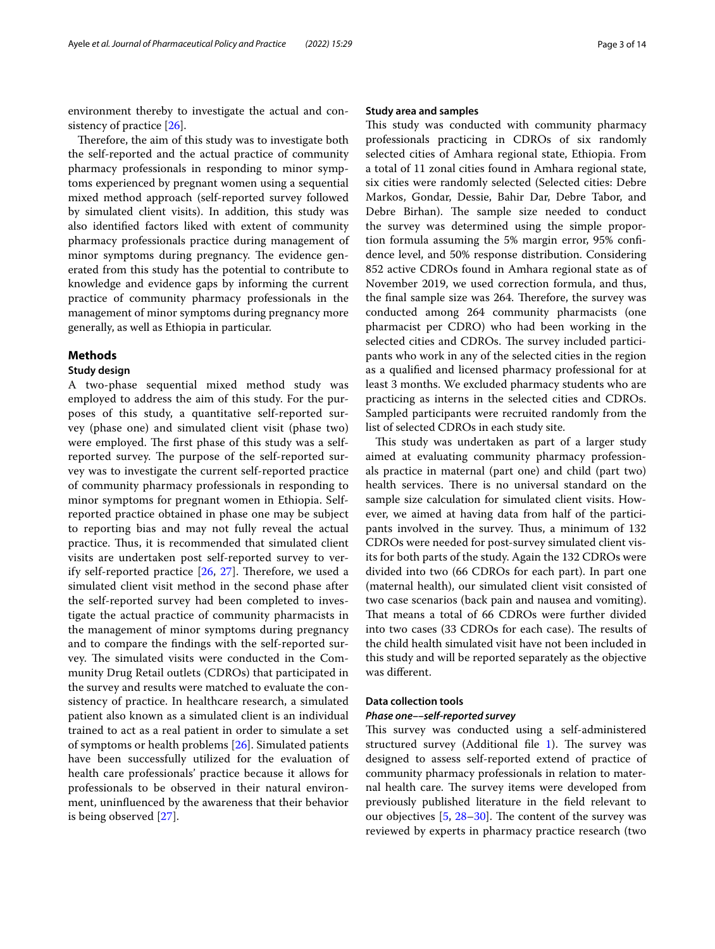environment thereby to investigate the actual and con-sistency of practice [\[26\]](#page-13-1).

Therefore, the aim of this study was to investigate both the self-reported and the actual practice of community pharmacy professionals in responding to minor symptoms experienced by pregnant women using a sequential mixed method approach (self-reported survey followed by simulated client visits). In addition, this study was also identifed factors liked with extent of community pharmacy professionals practice during management of minor symptoms during pregnancy. The evidence generated from this study has the potential to contribute to knowledge and evidence gaps by informing the current practice of community pharmacy professionals in the management of minor symptoms during pregnancy more generally, as well as Ethiopia in particular.

## **Methods**

## **Study design**

A two-phase sequential mixed method study was employed to address the aim of this study. For the purposes of this study, a quantitative self-reported survey (phase one) and simulated client visit (phase two) were employed. The first phase of this study was a selfreported survey. The purpose of the self-reported survey was to investigate the current self-reported practice of community pharmacy professionals in responding to minor symptoms for pregnant women in Ethiopia. Selfreported practice obtained in phase one may be subject to reporting bias and may not fully reveal the actual practice. Thus, it is recommended that simulated client visits are undertaken post self-reported survey to verify self-reported practice  $[26, 27]$  $[26, 27]$  $[26, 27]$  $[26, 27]$  $[26, 27]$ . Therefore, we used a simulated client visit method in the second phase after the self-reported survey had been completed to investigate the actual practice of community pharmacists in the management of minor symptoms during pregnancy and to compare the fndings with the self-reported survey. The simulated visits were conducted in the Community Drug Retail outlets (CDROs) that participated in the survey and results were matched to evaluate the consistency of practice. In healthcare research, a simulated patient also known as a simulated client is an individual trained to act as a real patient in order to simulate a set of symptoms or health problems [[26\]](#page-13-1). Simulated patients have been successfully utilized for the evaluation of health care professionals' practice because it allows for professionals to be observed in their natural environment, uninfuenced by the awareness that their behavior is being observed [[27\]](#page-13-2).

## **Study area and samples**

This study was conducted with community pharmacy professionals practicing in CDROs of six randomly selected cities of Amhara regional state, Ethiopia. From a total of 11 zonal cities found in Amhara regional state, six cities were randomly selected (Selected cities: Debre Markos, Gondar, Dessie, Bahir Dar, Debre Tabor, and Debre Birhan). The sample size needed to conduct the survey was determined using the simple proportion formula assuming the 5% margin error, 95% confdence level, and 50% response distribution. Considering 852 active CDROs found in Amhara regional state as of November 2019, we used correction formula, and thus, the final sample size was 264. Therefore, the survey was conducted among 264 community pharmacists (one pharmacist per CDRO) who had been working in the selected cities and CDROs. The survey included participants who work in any of the selected cities in the region as a qualifed and licensed pharmacy professional for at least 3 months. We excluded pharmacy students who are practicing as interns in the selected cities and CDROs. Sampled participants were recruited randomly from the list of selected CDROs in each study site.

This study was undertaken as part of a larger study aimed at evaluating community pharmacy professionals practice in maternal (part one) and child (part two) health services. There is no universal standard on the sample size calculation for simulated client visits. However, we aimed at having data from half of the participants involved in the survey. Thus, a minimum of 132 CDROs were needed for post-survey simulated client visits for both parts of the study. Again the 132 CDROs were divided into two (66 CDROs for each part). In part one (maternal health), our simulated client visit consisted of two case scenarios (back pain and nausea and vomiting). That means a total of 66 CDROs were further divided into two cases (33 CDROs for each case). The results of the child health simulated visit have not been included in this study and will be reported separately as the objective was diferent.

## **Data collection tools**

## *Phase one––self‑reported survey*

This survey was conducted using a self-administered structured survey (Additional file  $1$ ). The survey was designed to assess self-reported extend of practice of community pharmacy professionals in relation to maternal health care. The survey items were developed from previously published literature in the feld relevant to our objectives  $[5, 28-30]$  $[5, 28-30]$  $[5, 28-30]$  $[5, 28-30]$  $[5, 28-30]$  $[5, 28-30]$ . The content of the survey was reviewed by experts in pharmacy practice research (two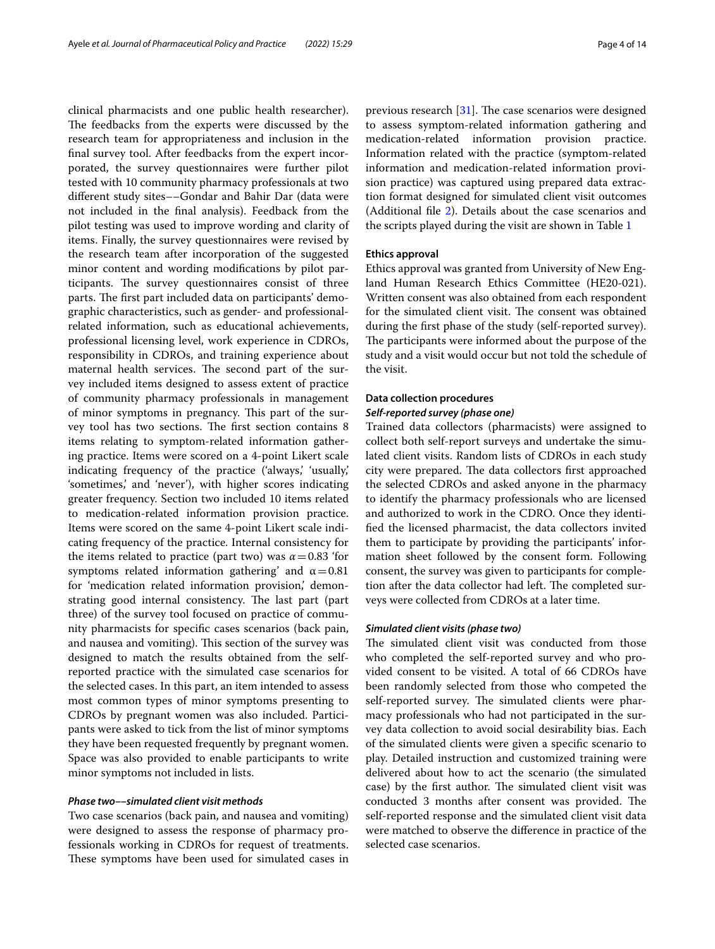clinical pharmacists and one public health researcher). The feedbacks from the experts were discussed by the research team for appropriateness and inclusion in the fnal survey tool. After feedbacks from the expert incorporated, the survey questionnaires were further pilot tested with 10 community pharmacy professionals at two diferent study sites––Gondar and Bahir Dar (data were not included in the fnal analysis). Feedback from the pilot testing was used to improve wording and clarity of items. Finally, the survey questionnaires were revised by the research team after incorporation of the suggested minor content and wording modifcations by pilot participants. The survey questionnaires consist of three parts. The first part included data on participants' demographic characteristics, such as gender- and professionalrelated information, such as educational achievements, professional licensing level, work experience in CDROs, responsibility in CDROs, and training experience about maternal health services. The second part of the survey included items designed to assess extent of practice of community pharmacy professionals in management of minor symptoms in pregnancy. This part of the survey tool has two sections. The first section contains 8 items relating to symptom-related information gathering practice. Items were scored on a 4-point Likert scale indicating frequency of the practice ('always,' 'usually,' 'sometimes,' and 'never'), with higher scores indicating greater frequency. Section two included 10 items related to medication-related information provision practice. Items were scored on the same 4-point Likert scale indicating frequency of the practice. Internal consistency for the items related to practice (part two) was  $\alpha$  = 0.83 'for symptoms related information gathering' and  $\alpha$  = 0.81 for 'medication related information provision,' demonstrating good internal consistency. The last part (part three) of the survey tool focused on practice of community pharmacists for specifc cases scenarios (back pain, and nausea and vomiting). This section of the survey was designed to match the results obtained from the selfreported practice with the simulated case scenarios for the selected cases. In this part, an item intended to assess most common types of minor symptoms presenting to CDROs by pregnant women was also included. Participants were asked to tick from the list of minor symptoms they have been requested frequently by pregnant women. Space was also provided to enable participants to write minor symptoms not included in lists.

## *Phase two––simulated client visit methods*

Two case scenarios (back pain, and nausea and vomiting) were designed to assess the response of pharmacy professionals working in CDROs for request of treatments. These symptoms have been used for simulated cases in previous research  $[31]$ . The case scenarios were designed to assess symptom-related information gathering and medication-related information provision practice. Information related with the practice (symptom-related information and medication-related information provision practice) was captured using prepared data extraction format designed for simulated client visit outcomes (Additional file [2\)](#page-12-23). Details about the case scenarios and the scripts played during the visit are shown in Table [1](#page-4-0)

## **Ethics approval**

Ethics approval was granted from University of New England Human Research Ethics Committee (HE20-021). Written consent was also obtained from each respondent for the simulated client visit. The consent was obtained during the frst phase of the study (self-reported survey). The participants were informed about the purpose of the study and a visit would occur but not told the schedule of the visit.

## **Data collection procedures** *Self‑reported survey (phase one)*

Trained data collectors (pharmacists) were assigned to collect both self-report surveys and undertake the simulated client visits. Random lists of CDROs in each study city were prepared. The data collectors first approached the selected CDROs and asked anyone in the pharmacy to identify the pharmacy professionals who are licensed and authorized to work in the CDRO. Once they identifed the licensed pharmacist, the data collectors invited them to participate by providing the participants' information sheet followed by the consent form. Following consent, the survey was given to participants for completion after the data collector had left. The completed surveys were collected from CDROs at a later time.

#### *Simulated client visits (phase two)*

The simulated client visit was conducted from those who completed the self-reported survey and who provided consent to be visited. A total of 66 CDROs have been randomly selected from those who competed the self-reported survey. The simulated clients were pharmacy professionals who had not participated in the survey data collection to avoid social desirability bias. Each of the simulated clients were given a specifc scenario to play. Detailed instruction and customized training were delivered about how to act the scenario (the simulated case) by the first author. The simulated client visit was conducted 3 months after consent was provided. The self-reported response and the simulated client visit data were matched to observe the diference in practice of the selected case scenarios.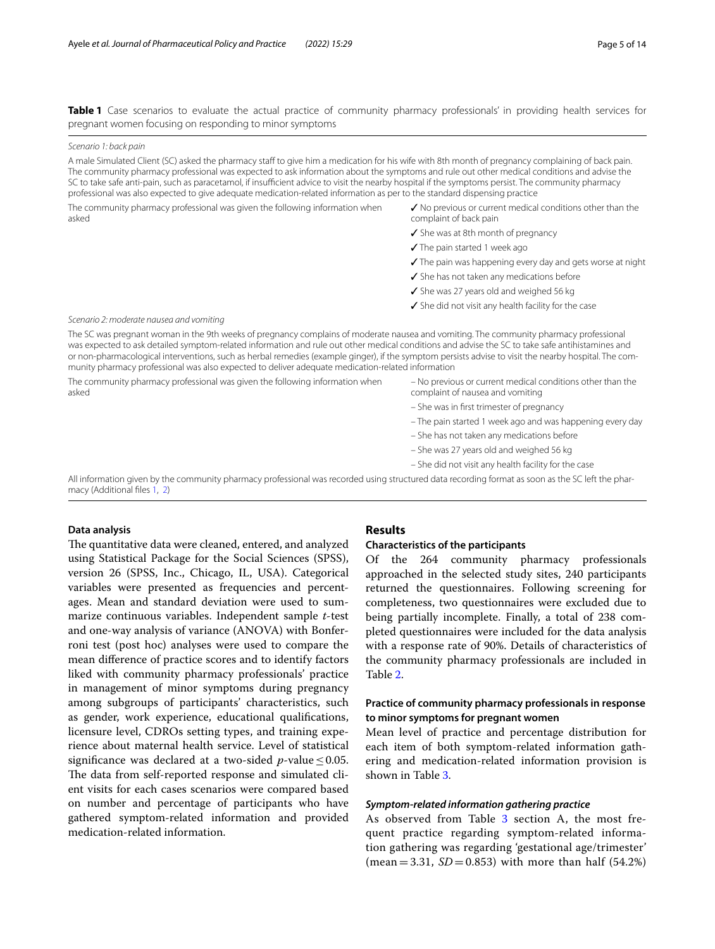<span id="page-4-0"></span>**Table 1** Case scenarios to evaluate the actual practice of community pharmacy professionals' in providing health services for pregnant women focusing on responding to minor symptoms

#### *Scenario 1: back pain*

A male Simulated Client (SC) asked the pharmacy staff to give him a medication for his wife with 8th month of pregnancy complaining of back pain. The community pharmacy professional was expected to ask information about the symptoms and rule out other medical conditions and advise the SC to take safe anti-pain, such as paracetamol, if insufficient advice to visit the nearby hospital if the symptoms persist. The community pharmacy professional was also expected to give adequate medication-related information as per to the standard dispensing practice

The community pharmacy professional was given the following information when asked

- ✓ No previous or current medical conditions other than the complaint of back pain
- ✓ She was at 8th month of pregnancy
- ✓ The pain started 1 week ago
- ✓ The pain was happening every day and gets worse at night
- ✓ She has not taken any medications before
- ✓ She was 27 years old and weighed 56 kg
- ✓ She did not visit any health facility for the case

#### *Scenario 2: moderate nausea and vomiting*

The SC was pregnant woman in the 9th weeks of pregnancy complains of moderate nausea and vomiting. The community pharmacy professional was expected to ask detailed symptom-related information and rule out other medical conditions and advise the SC to take safe antihistamines and or non-pharmacological interventions, such as herbal remedies (example ginger), if the symptom persists advise to visit the nearby hospital. The community pharmacy professional was also expected to deliver adequate medication-related information

The community pharmacy professional was given the following information when asked

- No previous or current medical conditions other than the complaint of nausea and vomiting
- She was in frst trimester of pregnancy
- The pain started 1 week ago and was happening every day
- She has not taken any medications before
- She was 27 years old and weighed 56 kg
- She did not visit any health facility for the case

All information given by the community pharmacy professional was recorded using structured data recording format as soon as the SC left the pharmacy (Additional fles [1,](#page-12-22) [2\)](#page-12-23)

## **Data analysis**

The quantitative data were cleaned, entered, and analyzed using Statistical Package for the Social Sciences (SPSS), version 26 (SPSS, Inc., Chicago, IL, USA). Categorical variables were presented as frequencies and percentages. Mean and standard deviation were used to summarize continuous variables. Independent sample *t*-test and one-way analysis of variance (ANOVA) with Bonferroni test (post hoc) analyses were used to compare the mean diference of practice scores and to identify factors liked with community pharmacy professionals' practice in management of minor symptoms during pregnancy among subgroups of participants' characteristics, such as gender, work experience, educational qualifcations, licensure level, CDROs setting types, and training experience about maternal health service. Level of statistical significance was declared at a two-sided  $p$ -value  $\leq 0.05$ . The data from self-reported response and simulated client visits for each cases scenarios were compared based on number and percentage of participants who have gathered symptom-related information and provided medication-related information.

## **Results**

## **Characteristics of the participants**

Of the 264 community pharmacy professionals approached in the selected study sites, 240 participants returned the questionnaires. Following screening for completeness, two questionnaires were excluded due to being partially incomplete. Finally, a total of 238 completed questionnaires were included for the data analysis with a response rate of 90%. Details of characteristics of the community pharmacy professionals are included in Table [2](#page-5-0).

## **Practice of community pharmacy professionals in response to minor symptoms for pregnant women**

Mean level of practice and percentage distribution for each item of both symptom-related information gathering and medication-related information provision is shown in Table [3.](#page-6-0)

## *Symptom‑related information gathering practice*

As observed from Table [3](#page-6-0) section A, the most frequent practice regarding symptom-related information gathering was regarding 'gestational age/trimester'  $(mean = 3.31, SD = 0.853)$  with more than half (54.2%)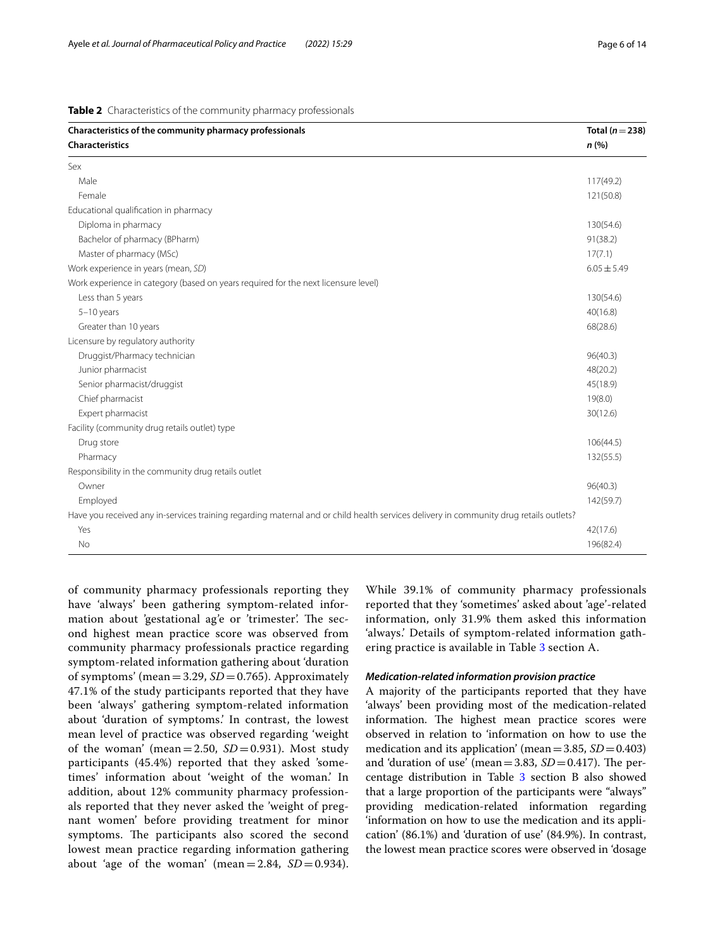<span id="page-5-0"></span>

| Characteristics of the community pharmacy professionals<br><b>Characteristics</b>                                                      | Total ( $n = 238$ )<br>n(%) |
|----------------------------------------------------------------------------------------------------------------------------------------|-----------------------------|
| Sex                                                                                                                                    |                             |
| Male                                                                                                                                   | 117(49.2)                   |
| Female                                                                                                                                 | 121(50.8)                   |
| Educational qualification in pharmacy                                                                                                  |                             |
| Diploma in pharmacy                                                                                                                    | 130(54.6)                   |
| Bachelor of pharmacy (BPharm)                                                                                                          | 91(38.2)                    |
| Master of pharmacy (MSc)                                                                                                               | 17(7.1)                     |
| Work experience in years (mean, SD)                                                                                                    | $6.05 \pm 5.49$             |
| Work experience in category (based on years required for the next licensure level)                                                     |                             |
| Less than 5 years                                                                                                                      | 130(54.6)                   |
| $5-10$ years                                                                                                                           | 40(16.8)                    |
| Greater than 10 years                                                                                                                  | 68(28.6)                    |
| Licensure by regulatory authority                                                                                                      |                             |
| Druggist/Pharmacy technician                                                                                                           | 96(40.3)                    |
| Junior pharmacist                                                                                                                      | 48(20.2)                    |
| Senior pharmacist/druggist                                                                                                             | 45(18.9)                    |
| Chief pharmacist                                                                                                                       | 19(8.0)                     |
| Expert pharmacist                                                                                                                      | 30(12.6)                    |
| Facility (community drug retails outlet) type                                                                                          |                             |
| Drug store                                                                                                                             | 106(44.5)                   |
| Pharmacy                                                                                                                               | 132(55.5)                   |
| Responsibility in the community drug retails outlet                                                                                    |                             |
| Owner                                                                                                                                  | 96(40.3)                    |
| Employed                                                                                                                               | 142(59.7)                   |
| Have you received any in-services training regarding maternal and or child health services delivery in community drug retails outlets? |                             |
| Yes                                                                                                                                    | 42(17.6)                    |
| No                                                                                                                                     | 196(82.4)                   |

of community pharmacy professionals reporting they have 'always' been gathering symptom-related information about 'gestational ag'e or 'trimester'. The second highest mean practice score was observed from community pharmacy professionals practice regarding symptom-related information gathering about 'duration of symptoms' (mean =  $3.29$ ,  $SD = 0.765$ ). Approximately 47.1% of the study participants reported that they have been 'always' gathering symptom-related information about 'duration of symptoms.' In contrast, the lowest mean level of practice was observed regarding 'weight of the woman' (mean=2.50,  $SD = 0.931$ ). Most study participants (45.4%) reported that they asked 'sometimes' information about 'weight of the woman.' In addition, about 12% community pharmacy professionals reported that they never asked the 'weight of pregnant women' before providing treatment for minor symptoms. The participants also scored the second lowest mean practice regarding information gathering about 'age of the woman' (mean= $2.84$ ,  $SD = 0.934$ ).

While 39.1% of community pharmacy professionals reported that they 'sometimes' asked about 'age'-related information, only 31.9% them asked this information 'always.' Details of symptom-related information gathering practice is available in Table [3](#page-6-0) section A.

## *Medication‑related information provision practice*

A majority of the participants reported that they have 'always' been providing most of the medication-related information. The highest mean practice scores were observed in relation to 'information on how to use the medication and its application' (mean=3.85, *SD*=0.403) and 'duration of use' (mean=3.83,  $SD = 0.417$ ). The percentage distribution in Table [3](#page-6-0) section B also showed that a large proportion of the participants were "always" providing medication-related information regarding 'information on how to use the medication and its application' (86.1%) and 'duration of use' (84.9%). In contrast, the lowest mean practice scores were observed in 'dosage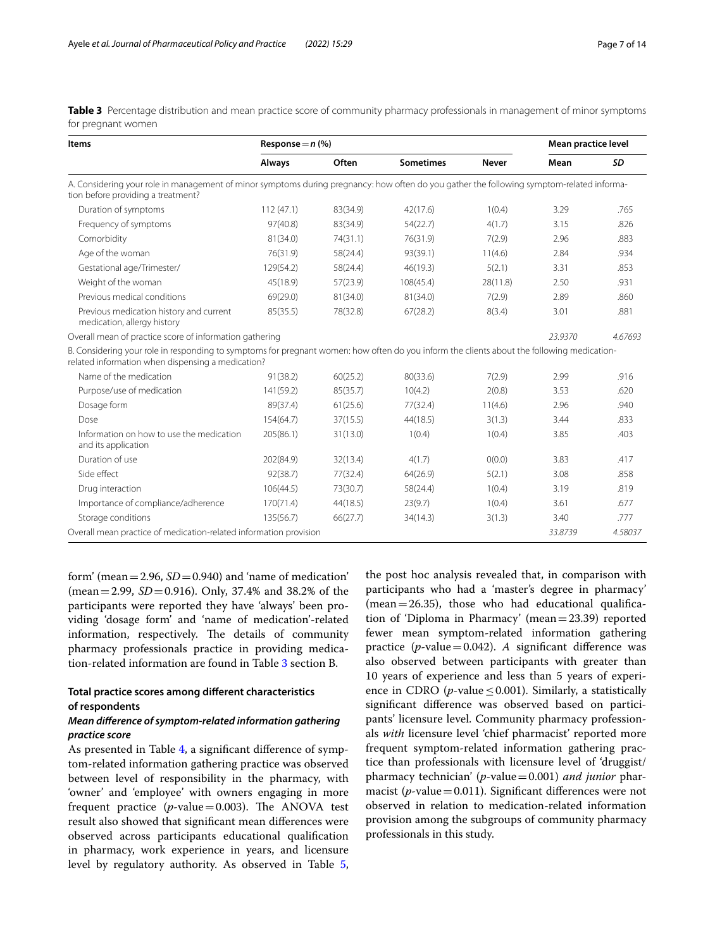<span id="page-6-0"></span>**Table 3** Percentage distribution and mean practice score of community pharmacy professionals in management of minor symptoms for pregnant women

| <b>Items</b>                                                                                                                                                                                    | Response $= n$ (%) |          |                  |              | Mean practice level |         |
|-------------------------------------------------------------------------------------------------------------------------------------------------------------------------------------------------|--------------------|----------|------------------|--------------|---------------------|---------|
|                                                                                                                                                                                                 | Always             | Often    | <b>Sometimes</b> | <b>Never</b> | Mean                | SD      |
| A. Considering your role in management of minor symptoms during pregnancy: how often do you gather the following symptom-related informa-<br>tion before providing a treatment?                 |                    |          |                  |              |                     |         |
| Duration of symptoms                                                                                                                                                                            | 112(47.1)          | 83(34.9) | 42(17.6)         | 1(0.4)       | 3.29                | .765    |
| Frequency of symptoms                                                                                                                                                                           | 97(40.8)           | 83(34.9) | 54(22.7)         | 4(1.7)       | 3.15                | .826    |
| Comorbidity                                                                                                                                                                                     | 81(34.0)           | 74(31.1) | 76(31.9)         | 7(2.9)       | 2.96                | .883    |
| Age of the woman                                                                                                                                                                                | 76(31.9)           | 58(24.4) | 93(39.1)         | 11(4.6)      | 2.84                | .934    |
| Gestational age/Trimester/                                                                                                                                                                      | 129(54.2)          | 58(24.4) | 46(19.3)         | 5(2.1)       | 3.31                | .853    |
| Weight of the woman                                                                                                                                                                             | 45(18.9)           | 57(23.9) | 108(45.4)        | 28(11.8)     | 2.50                | .931    |
| Previous medical conditions                                                                                                                                                                     | 69(29.0)           | 81(34.0) | 81(34.0)         | 7(2.9)       | 2.89                | .860    |
| Previous medication history and current<br>medication, allergy history                                                                                                                          | 85(35.5)           | 78(32.8) | 67(28.2)         | 8(3.4)       | 3.01                | .881    |
| Overall mean of practice score of information gathering                                                                                                                                         |                    |          |                  |              | 23.9370             | 4.67693 |
| B. Considering your role in responding to symptoms for pregnant women: how often do you inform the clients about the following medication-<br>related information when dispensing a medication? |                    |          |                  |              |                     |         |
| Name of the medication                                                                                                                                                                          | 91(38.2)           | 60(25.2) | 80(33.6)         | 7(2.9)       | 2.99                | .916    |
| Purpose/use of medication                                                                                                                                                                       | 141(59.2)          | 85(35.7) | 10(4.2)          | 2(0.8)       | 3.53                | .620    |
| Dosage form                                                                                                                                                                                     | 89(37.4)           | 61(25.6) | 77(32.4)         | 11(4.6)      | 2.96                | .940    |
| Dose                                                                                                                                                                                            | 154(64.7)          | 37(15.5) | 44(18.5)         | 3(1.3)       | 3.44                | .833    |
| Information on how to use the medication<br>and its application                                                                                                                                 | 205(86.1)          | 31(13.0) | 1(0.4)           | 1(0.4)       | 3.85                | .403    |
| Duration of use                                                                                                                                                                                 | 202(84.9)          | 32(13.4) | 4(1.7)           | O(0.0)       | 3.83                | .417    |
| Side effect                                                                                                                                                                                     | 92(38.7)           | 77(32.4) | 64(26.9)         | 5(2.1)       | 3.08                | .858    |
| Drug interaction                                                                                                                                                                                | 106(44.5)          | 73(30.7) | 58(24.4)         | 1(0.4)       | 3.19                | .819    |
| Importance of compliance/adherence                                                                                                                                                              | 170(71.4)          | 44(18.5) | 23(9.7)          | 1(0.4)       | 3.61                | .677    |
| Storage conditions                                                                                                                                                                              | 135(56.7)          | 66(27.7) | 34(14.3)         | 3(1.3)       | 3.40                | .777    |
| Overall mean practice of medication-related information provision                                                                                                                               |                    |          |                  |              | 33.8739             | 4.58037 |

form' (mean =  $2.96$ ,  $SD = 0.940$ ) and 'name of medication'  $(mean = 2.99, SD = 0.916)$ . Only, 37.4% and 38.2% of the participants were reported they have 'always' been providing 'dosage form' and 'name of medication'-related information, respectively. The details of community pharmacy professionals practice in providing medication-related information are found in Table [3](#page-6-0) section B.

## **Total practice scores among diferent characteristics of respondents**

## *Mean diference of symptom‑related information gathering practice score*

As presented in Table [4,](#page-7-0) a signifcant diference of symptom-related information gathering practice was observed between level of responsibility in the pharmacy, with 'owner' and 'employee' with owners engaging in more frequent practice  $(p$ -value=0.003). The ANOVA test result also showed that signifcant mean diferences were observed across participants educational qualifcation in pharmacy, work experience in years, and licensure level by regulatory authority. As observed in Table [5](#page-7-1),

the post hoc analysis revealed that, in comparison with participants who had a 'master's degree in pharmacy'  $(mean=26.35)$ , those who had educational qualification of 'Diploma in Pharmacy' (mean=23.39) reported fewer mean symptom-related information gathering practice ( $p$ -value=0.042). *A* significant difference was also observed between participants with greater than 10 years of experience and less than 5 years of experience in CDRO ( $p$ -value  $\leq$  0.001). Similarly, a statistically signifcant diference was observed based on participants' licensure level. Community pharmacy professionals *with* licensure level 'chief pharmacist' reported more frequent symptom-related information gathering practice than professionals with licensure level of 'druggist/ pharmacy technician' (*p*-value=0.001) *and junior* pharmacist (*p*-value=0.011). Significant differences were not observed in relation to medication-related information provision among the subgroups of community pharmacy professionals in this study.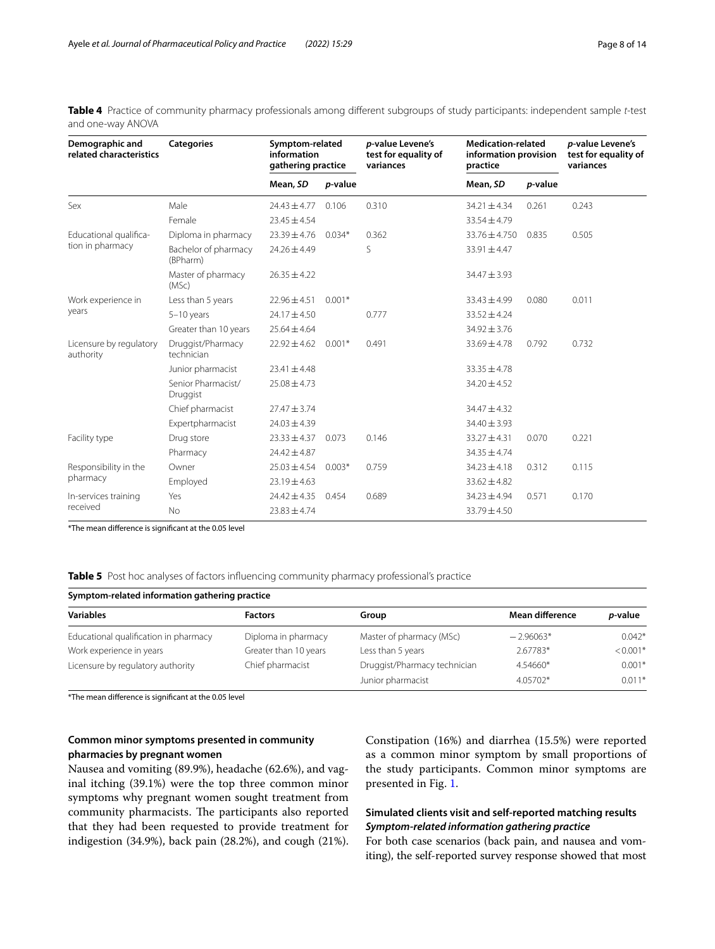| Demographic and<br>related characteristics | <b>Categories</b>                | Symptom-related<br>information<br>gathering practice |                 | <i>p</i> -value Levene's<br>test for equality of<br>variances | <b>Medication-related</b><br>information provision<br>practice |         | <i>p</i> -value Levene's<br>test for equality of<br>variances |
|--------------------------------------------|----------------------------------|------------------------------------------------------|-----------------|---------------------------------------------------------------|----------------------------------------------------------------|---------|---------------------------------------------------------------|
|                                            |                                  | Mean, SD                                             | <i>p</i> -value |                                                               | Mean, SD                                                       | p-value |                                                               |
| Sex                                        | Male                             | $24.43 \pm 4.77$                                     | 0.106           | 0.310                                                         | $34.21 \pm 4.34$                                               | 0.261   | 0.243                                                         |
|                                            | Female                           | $23.45 \pm 4.54$                                     |                 |                                                               | $33.54 \pm 4.79$                                               |         |                                                               |
| Educational qualifica-                     | Diploma in pharmacy              | $23.39 \pm 4.76$                                     | $0.034*$        | 0.362                                                         | $33.76 \pm 4.750$                                              | 0.835   | 0.505                                                         |
| tion in pharmacy                           | Bachelor of pharmacy<br>(BPharm) | $24.26 \pm 4.49$                                     |                 | S                                                             | 33.91±4.47                                                     |         |                                                               |
|                                            | Master of pharmacy<br>(MSc)      | $26.35 \pm 4.22$                                     |                 |                                                               | $34.47 \pm 3.93$                                               |         |                                                               |
| Work experience in                         | Less than 5 years                | $22.96 \pm 4.51$                                     | $0.001*$        |                                                               | $33.43 \pm 4.99$                                               | 0.080   | 0.011                                                         |
| years                                      | $5-10$ years                     | $24.17 \pm 4.50$                                     |                 | 0.777                                                         | $33.52 \pm 4.24$                                               |         |                                                               |
|                                            | Greater than 10 years            | $25.64 \pm 4.64$                                     |                 |                                                               | $34.92 \pm 3.76$                                               |         |                                                               |
| Licensure by regulatory<br>authority       | Druggist/Pharmacy<br>technician  | $22.92 \pm 4.62$                                     | $0.001*$        | 0.491                                                         | $33.69 \pm 4.78$                                               | 0.792   | 0.732                                                         |
|                                            | Junior pharmacist                | $23.41 \pm 4.48$                                     |                 |                                                               | $33.35 \pm 4.78$                                               |         |                                                               |
|                                            | Senior Pharmacist/<br>Druggist   | $25.08 \pm 4.73$                                     |                 |                                                               | $34.20 \pm 4.52$                                               |         |                                                               |
|                                            | Chief pharmacist                 | $27.47 \pm 3.74$                                     |                 |                                                               | $34.47 \pm 4.32$                                               |         |                                                               |
|                                            | Expertpharmacist                 | $24.03 \pm 4.39$                                     |                 |                                                               | $34.40 \pm 3.93$                                               |         |                                                               |
| Facility type                              | Drug store                       | $23.33 \pm 4.37$                                     | 0.073           | 0.146                                                         | $33.27 \pm 4.31$                                               | 0.070   | 0.221                                                         |
|                                            | Pharmacy                         | $24.42 \pm 4.87$                                     |                 |                                                               | $34.35 \pm 4.74$                                               |         |                                                               |
| Responsibility in the<br>pharmacy          | Owner                            | $25.03 \pm 4.54$                                     | $0.003*$        | 0.759                                                         | $34.23 \pm 4.18$                                               | 0.312   | 0.115                                                         |
|                                            | Employed                         | $23.19 \pm 4.63$                                     |                 |                                                               | $33.62 \pm 4.82$                                               |         |                                                               |
| In-services training                       | Yes                              | $24.42 \pm 4.35$                                     | 0.454           | 0.689                                                         | $34.23 \pm 4.94$                                               | 0.571   | 0.170                                                         |
| received                                   | <b>No</b>                        | $23.83 \pm 4.74$                                     |                 |                                                               | $33.79 \pm 4.50$                                               |         |                                                               |

<span id="page-7-0"></span>**Table 4** Practice of community pharmacy professionals among diferent subgroups of study participants: independent sample *t*-test and one-way ANOVA

\*The mean diference is signifcant at the 0.05 level

## <span id="page-7-1"></span>**Table 5** Post hoc analyses of factors influencing community pharmacy professional's practice

| Symptom-related information gathering practice |                       |                              |                 |            |  |  |  |
|------------------------------------------------|-----------------------|------------------------------|-----------------|------------|--|--|--|
| <b>Variables</b>                               | <b>Factors</b>        | Group                        | Mean difference | p-value    |  |  |  |
| Educational qualification in pharmacy          | Diploma in pharmacy   | Master of pharmacy (MSc)     | $-2.96063*$     | $0.042*$   |  |  |  |
| Work experience in years                       | Greater than 10 years | Less than 5 years            | 2.67783*        | $< 0.001*$ |  |  |  |
| Licensure by regulatory authority              | Chief pharmacist      | Druggist/Pharmacy technician | $4.54660*$      | $0.001*$   |  |  |  |
|                                                |                       | Junior pharmacist            | 4.05702*        | $0.011*$   |  |  |  |

\*The mean diference is signifcant at the 0.05 level

## **Common minor symptoms presented in community pharmacies by pregnant women**

Nausea and vomiting (89.9%), headache (62.6%), and vaginal itching (39.1%) were the top three common minor symptoms why pregnant women sought treatment from community pharmacists. The participants also reported that they had been requested to provide treatment for indigestion (34.9%), back pain (28.2%), and cough (21%).

Constipation (16%) and diarrhea (15.5%) were reported as a common minor symptom by small proportions of the study participants. Common minor symptoms are presented in Fig. [1.](#page-8-0)

## **Simulated clients visit and self‑reported matching results** *Symptom‑related information gathering practice*

For both case scenarios (back pain, and nausea and vomiting), the self-reported survey response showed that most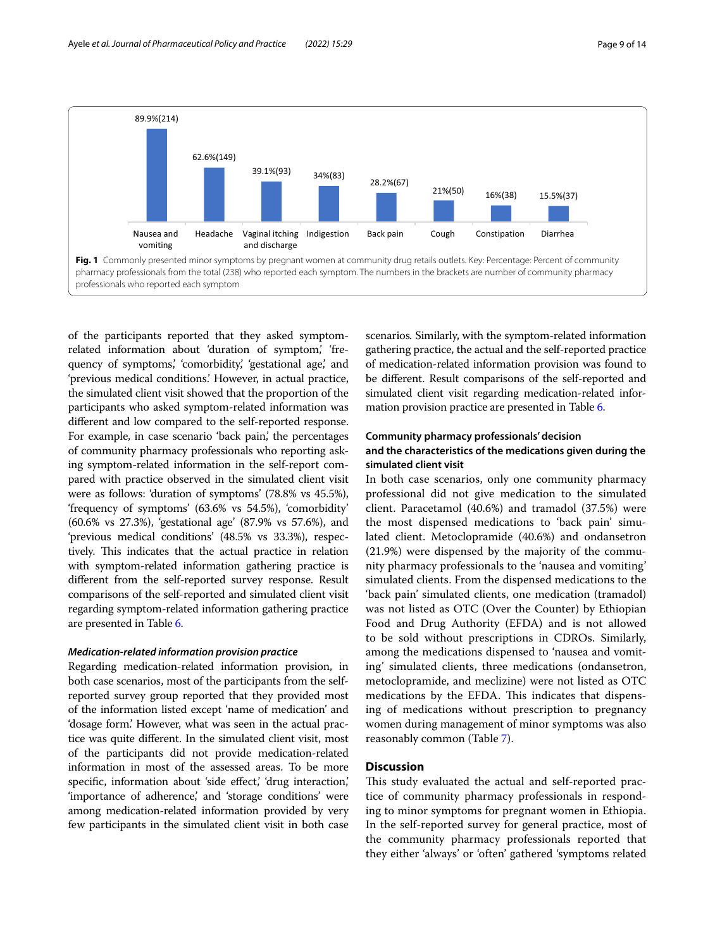

<span id="page-8-0"></span>of the participants reported that they asked symptomrelated information about 'duration of symptom,' 'frequency of symptoms,' 'comorbidity,' 'gestational age,' and 'previous medical conditions.' However, in actual practice, the simulated client visit showed that the proportion of the participants who asked symptom-related information was diferent and low compared to the self-reported response. For example, in case scenario 'back pain,' the percentages of community pharmacy professionals who reporting asking symptom-related information in the self-report compared with practice observed in the simulated client visit were as follows: 'duration of symptoms' (78.8% vs 45.5%), 'frequency of symptoms' (63.6% vs 54.5%), 'comorbidity' (60.6% vs 27.3%), 'gestational age' (87.9% vs 57.6%), and 'previous medical conditions' (48.5% vs 33.3%), respectively. This indicates that the actual practice in relation with symptom-related information gathering practice is diferent from the self-reported survey response. Result comparisons of the self-reported and simulated client visit regarding symptom-related information gathering practice are presented in Table [6.](#page-9-0)

## *Medication‑related information provision practice*

Regarding medication-related information provision, in both case scenarios, most of the participants from the selfreported survey group reported that they provided most of the information listed except 'name of medication' and 'dosage form.' However, what was seen in the actual practice was quite diferent. In the simulated client visit, most of the participants did not provide medication-related information in most of the assessed areas. To be more specific, information about 'side effect,' 'drug interaction,' 'importance of adherence,' and 'storage conditions' were among medication-related information provided by very few participants in the simulated client visit in both case

scenarios*.* Similarly, with the symptom-related information gathering practice, the actual and the self-reported practice of medication-related information provision was found to be diferent. Result comparisons of the self-reported and simulated client visit regarding medication-related information provision practice are presented in Table [6](#page-9-0).

## **Community pharmacy professionals' decision and the characteristics of the medications given during the simulated client visit**

In both case scenarios, only one community pharmacy professional did not give medication to the simulated client. Paracetamol (40.6%) and tramadol (37.5%) were the most dispensed medications to 'back pain' simulated client. Metoclopramide (40.6%) and ondansetron (21.9%) were dispensed by the majority of the community pharmacy professionals to the 'nausea and vomiting' simulated clients. From the dispensed medications to the 'back pain' simulated clients, one medication (tramadol) was not listed as OTC (Over the Counter) by Ethiopian Food and Drug Authority (EFDA) and is not allowed to be sold without prescriptions in CDROs. Similarly, among the medications dispensed to 'nausea and vomiting' simulated clients, three medications (ondansetron, metoclopramide, and meclizine) were not listed as OTC medications by the EFDA. This indicates that dispensing of medications without prescription to pregnancy women during management of minor symptoms was also reasonably common (Table [7\)](#page-9-1).

## **Discussion**

This study evaluated the actual and self-reported practice of community pharmacy professionals in responding to minor symptoms for pregnant women in Ethiopia. In the self-reported survey for general practice, most of the community pharmacy professionals reported that they either 'always' or 'often' gathered 'symptoms related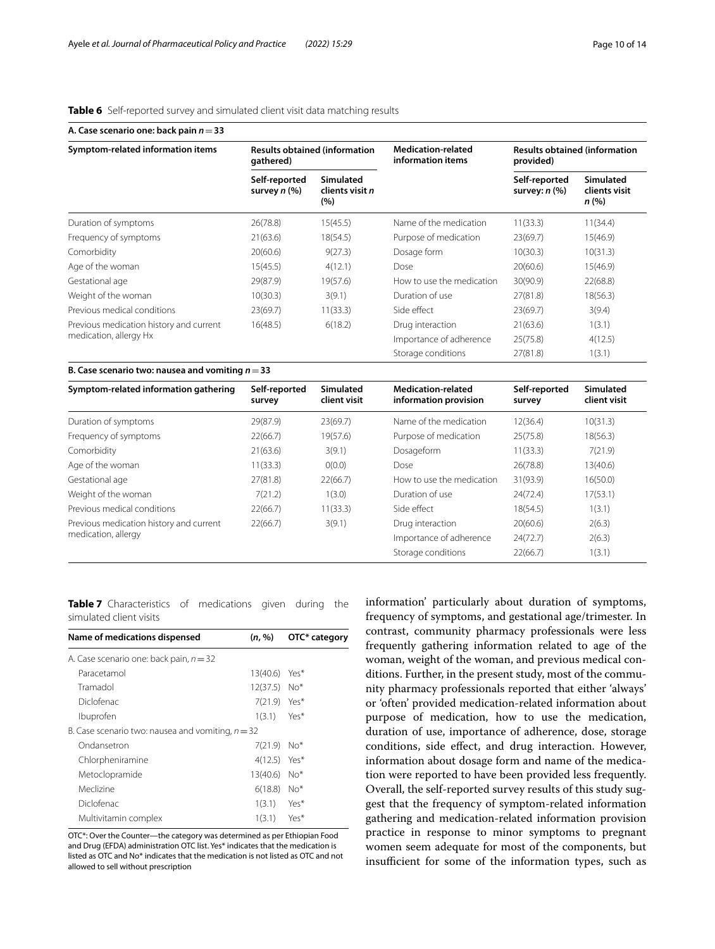## <span id="page-9-0"></span>**Table 6** Self-reported survey and simulated client visit data matching results

| A. Case scenario one: back pain $n = 33$                          |                                                   |                                            |                                                |                                                   |                                           |  |
|-------------------------------------------------------------------|---------------------------------------------------|--------------------------------------------|------------------------------------------------|---------------------------------------------------|-------------------------------------------|--|
| Symptom-related information items                                 | <b>Results obtained (information</b><br>gathered) |                                            | <b>Medication-related</b><br>information items | <b>Results obtained (information</b><br>provided) |                                           |  |
|                                                                   | Self-reported<br>survey $n$ $(\%)$                | <b>Simulated</b><br>clients visit n<br>(%) |                                                | Self-reported<br>survey: $n$ $(\%)$               | <b>Simulated</b><br>clients visit<br>n(%) |  |
| Duration of symptoms                                              | 26(78.8)                                          | 15(45.5)                                   | Name of the medication                         | 11(33.3)                                          | 11(34.4)                                  |  |
| Frequency of symptoms                                             | 21(63.6)                                          | 18(54.5)                                   | Purpose of medication                          | 23(69.7)                                          | 15(46.9)                                  |  |
| Comorbidity                                                       | 20(60.6)                                          | 9(27.3)                                    | Dosage form                                    | 10(30.3)                                          | 10(31.3)                                  |  |
| Age of the woman                                                  | 15(45.5)                                          | 4(12.1)                                    | Dose                                           | 20(60.6)                                          | 15(46.9)                                  |  |
| Gestational age                                                   | 29(87.9)                                          | 19(57.6)                                   | How to use the medication                      | 30(90.9)                                          | 22(68.8)                                  |  |
| Weight of the woman                                               | 10(30.3)                                          | 3(9.1)                                     | Duration of use                                | 27(81.8)                                          | 18(56.3)                                  |  |
| Previous medical conditions                                       | 23(69.7)                                          | 11(33.3)                                   | Side effect                                    | 23(69.7)                                          | 3(9.4)                                    |  |
| Previous medication history and current<br>medication, allergy Hx | 16(48.5)                                          | 6(18.2)                                    | Drug interaction                               | 21(63.6)                                          | 1(3.1)                                    |  |
|                                                                   |                                                   |                                            | Importance of adherence                        | 25(75.8)                                          | 4(12.5)                                   |  |
|                                                                   |                                                   |                                            | Storage conditions                             | 27(81.8)                                          | 1(3.1)                                    |  |

#### **B. Case scenario two: nausea and vomiting** *n*=**33**

| Symptom-related information gathering   | Self-reported<br>survey | Simulated<br>client visit | <b>Medication-related</b><br>information provision | Self-reported<br>survey | <b>Simulated</b><br>client visit |
|-----------------------------------------|-------------------------|---------------------------|----------------------------------------------------|-------------------------|----------------------------------|
| Duration of symptoms                    | 29(87.9)                | 23(69.7)                  | Name of the medication                             | 12(36.4)                | 10(31.3)                         |
| Frequency of symptoms                   | 22(66.7)                | 19(57.6)                  | Purpose of medication                              | 25(75.8)                | 18(56.3)                         |
| Comorbidity                             | 21(63.6)                | 3(9.1)                    | Dosageform                                         | 11(33.3)                | 7(21.9)                          |
| Age of the woman                        | 11(33.3)                | O(0.0)                    | Dose                                               | 26(78.8)                | 13(40.6)                         |
| Gestational age                         | 27(81.8)                | 22(66.7)                  | How to use the medication                          | 31(93.9)                | 16(50.0)                         |
| Weight of the woman                     | 7(21.2)                 | 1(3.0)                    | Duration of use                                    | 24(72.4)                | 17(53.1)                         |
| Previous medical conditions             | 22(66.7)                | 11(33.3)                  | Side effect                                        | 18(54.5)                | 1(3.1)                           |
| Previous medication history and current | 22(66.7)                | 3(9.1)                    | Drug interaction                                   | 20(60.6)                | 2(6.3)                           |
| medication, allergy                     |                         |                           | Importance of adherence                            | 24(72.7)                | 2(6.3)                           |
|                                         |                         |                           | Storage conditions                                 | 22(66.7)                | 1(3.1)                           |

<span id="page-9-1"></span>**Table 7** Characteristics of medications given during the simulated client visits

| Name of medications dispensed                       | (n, %)       | OTC* category |
|-----------------------------------------------------|--------------|---------------|
| A. Case scenario one: back pain, $n = 32$           |              |               |
| Paracetamol                                         | 13(40.6)     | Yes*          |
| Tramadol                                            | 12(37.5)     | $No*$         |
| Diclofenac                                          | 7(21.9) Yes* |               |
| Ibuprofen                                           | 1(3.1)       | Yes*          |
| B. Case scenario two: nausea and vomiting, $n = 32$ |              |               |
| Ondansetron                                         | 7(21.9)      | $No*$         |
| Chlorpheniramine                                    | 4(12.5)      | Yes*          |
| Metoclopramide                                      | 13(40.6)     | $No*$         |
| Meclizine                                           | 6(18.8)      | $No*$         |
| Diclofenac                                          | 1(3.1)       | Yes*          |
| Multivitamin complex                                | 1(3.1)       | Yes*          |

OTC\*: Over the Counter—the category was determined as per Ethiopian Food and Drug (EFDA) administration OTC list. Yes\* indicates that the medication is listed as OTC and No\* indicates that the medication is not listed as OTC and not allowed to sell without prescription

information' particularly about duration of symptoms, frequency of symptoms, and gestational age/trimester. In contrast, community pharmacy professionals were less frequently gathering information related to age of the woman, weight of the woman, and previous medical conditions. Further, in the present study, most of the community pharmacy professionals reported that either 'always' or 'often' provided medication-related information about purpose of medication, how to use the medication, duration of use, importance of adherence, dose, storage conditions, side effect, and drug interaction. However, information about dosage form and name of the medication were reported to have been provided less frequently. Overall, the self-reported survey results of this study suggest that the frequency of symptom-related information gathering and medication-related information provision practice in response to minor symptoms to pregnant women seem adequate for most of the components, but insufficient for some of the information types, such as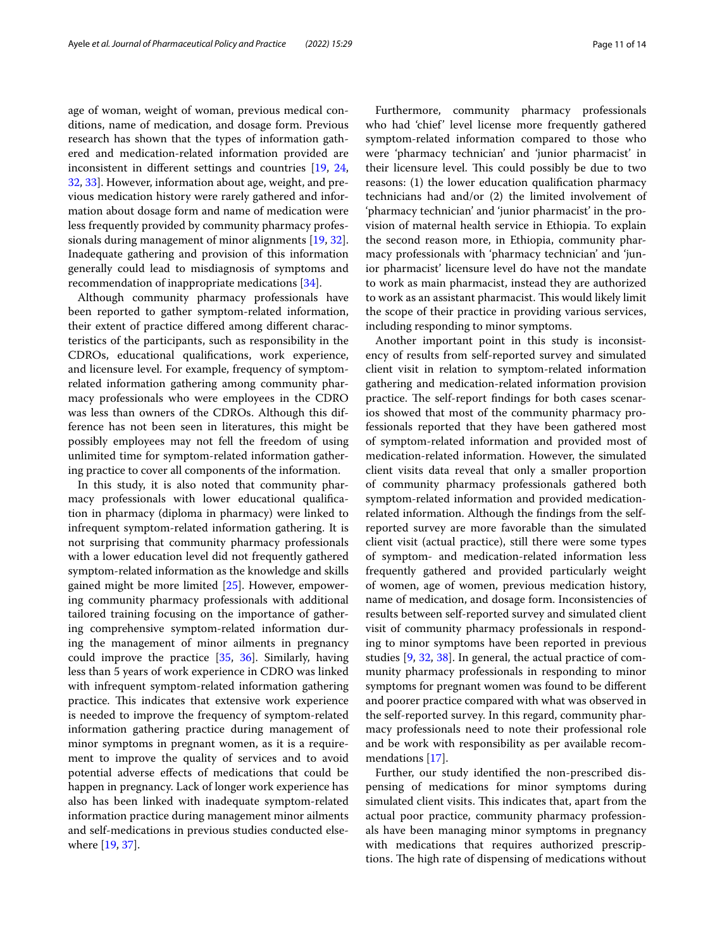age of woman, weight of woman, previous medical conditions, name of medication, and dosage form. Previous research has shown that the types of information gathered and medication-related information provided are inconsistent in diferent settings and countries [\[19](#page-12-18), [24](#page-12-24), [32,](#page-13-6) [33\]](#page-13-7). However, information about age, weight, and previous medication history were rarely gathered and information about dosage form and name of medication were less frequently provided by community pharmacy professionals during management of minor alignments [[19,](#page-12-18) [32](#page-13-6)]. Inadequate gathering and provision of this information generally could lead to misdiagnosis of symptoms and recommendation of inappropriate medications [\[34\]](#page-13-8).

Although community pharmacy professionals have been reported to gather symptom-related information, their extent of practice difered among diferent characteristics of the participants, such as responsibility in the CDROs, educational qualifcations, work experience, and licensure level. For example, frequency of symptomrelated information gathering among community pharmacy professionals who were employees in the CDRO was less than owners of the CDROs. Although this difference has not been seen in literatures, this might be possibly employees may not fell the freedom of using unlimited time for symptom-related information gathering practice to cover all components of the information.

In this study, it is also noted that community pharmacy professionals with lower educational qualifcation in pharmacy (diploma in pharmacy) were linked to infrequent symptom-related information gathering. It is not surprising that community pharmacy professionals with a lower education level did not frequently gathered symptom-related information as the knowledge and skills gained might be more limited [\[25](#page-13-0)]. However, empowering community pharmacy professionals with additional tailored training focusing on the importance of gathering comprehensive symptom-related information during the management of minor ailments in pregnancy could improve the practice [[35](#page-13-9), [36\]](#page-13-10). Similarly, having less than 5 years of work experience in CDRO was linked with infrequent symptom-related information gathering practice. This indicates that extensive work experience is needed to improve the frequency of symptom-related information gathering practice during management of minor symptoms in pregnant women, as it is a requirement to improve the quality of services and to avoid potential adverse efects of medications that could be happen in pregnancy. Lack of longer work experience has also has been linked with inadequate symptom-related information practice during management minor ailments and self-medications in previous studies conducted elsewhere [\[19,](#page-12-18) [37](#page-13-11)].

Furthermore, community pharmacy professionals who had 'chief' level license more frequently gathered symptom-related information compared to those who were 'pharmacy technician' and 'junior pharmacist' in their licensure level. This could possibly be due to two reasons: (1) the lower education qualifcation pharmacy technicians had and/or (2) the limited involvement of 'pharmacy technician' and 'junior pharmacist' in the provision of maternal health service in Ethiopia. To explain the second reason more, in Ethiopia, community pharmacy professionals with 'pharmacy technician' and 'junior pharmacist' licensure level do have not the mandate to work as main pharmacist, instead they are authorized to work as an assistant pharmacist. This would likely limit the scope of their practice in providing various services, including responding to minor symptoms.

Another important point in this study is inconsistency of results from self-reported survey and simulated client visit in relation to symptom-related information gathering and medication-related information provision practice. The self-report findings for both cases scenarios showed that most of the community pharmacy professionals reported that they have been gathered most of symptom-related information and provided most of medication-related information. However, the simulated client visits data reveal that only a smaller proportion of community pharmacy professionals gathered both symptom-related information and provided medicationrelated information. Although the fndings from the selfreported survey are more favorable than the simulated client visit (actual practice), still there were some types of symptom- and medication-related information less frequently gathered and provided particularly weight of women, age of women, previous medication history, name of medication, and dosage form. Inconsistencies of results between self-reported survey and simulated client visit of community pharmacy professionals in responding to minor symptoms have been reported in previous studies [\[9](#page-12-11), [32,](#page-13-6) [38\]](#page-13-12). In general, the actual practice of community pharmacy professionals in responding to minor symptoms for pregnant women was found to be diferent and poorer practice compared with what was observed in the self-reported survey. In this regard, community pharmacy professionals need to note their professional role and be work with responsibility as per available recommendations [\[17](#page-12-16)].

Further, our study identifed the non-prescribed dispensing of medications for minor symptoms during simulated client visits. This indicates that, apart from the actual poor practice, community pharmacy professionals have been managing minor symptoms in pregnancy with medications that requires authorized prescriptions. The high rate of dispensing of medications without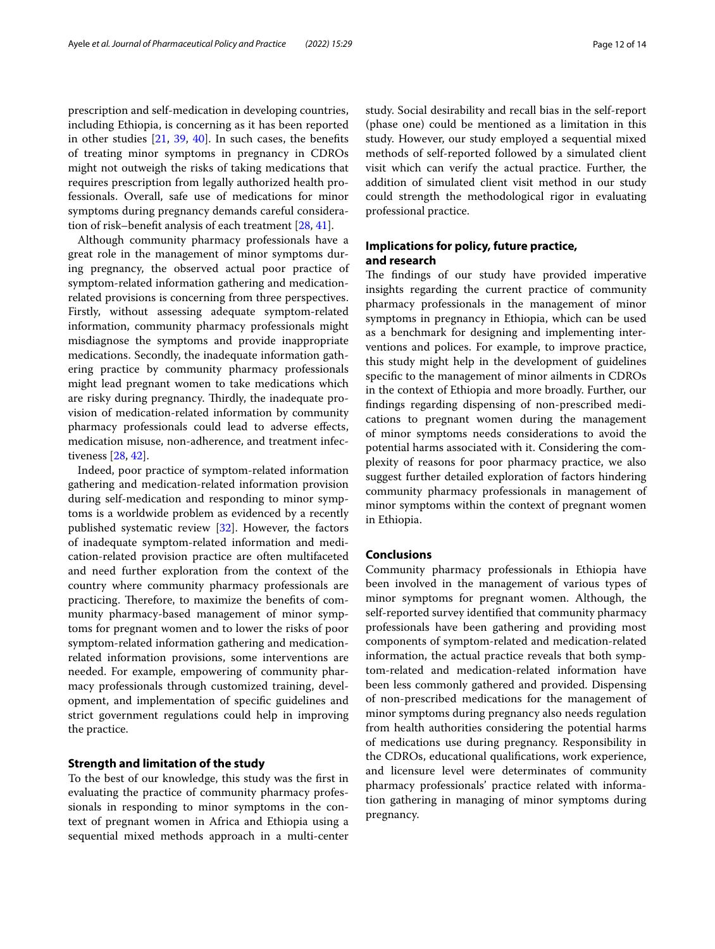prescription and self-medication in developing countries, including Ethiopia, is concerning as it has been reported in other studies  $[21, 39, 40]$  $[21, 39, 40]$  $[21, 39, 40]$  $[21, 39, 40]$  $[21, 39, 40]$  $[21, 39, 40]$ . In such cases, the benefits of treating minor symptoms in pregnancy in CDROs might not outweigh the risks of taking medications that requires prescription from legally authorized health professionals. Overall, safe use of medications for minor symptoms during pregnancy demands careful consideration of risk–beneft analysis of each treatment [[28,](#page-13-3) [41\]](#page-13-15).

Although community pharmacy professionals have a great role in the management of minor symptoms during pregnancy, the observed actual poor practice of symptom-related information gathering and medicationrelated provisions is concerning from three perspectives. Firstly, without assessing adequate symptom-related information, community pharmacy professionals might misdiagnose the symptoms and provide inappropriate medications. Secondly, the inadequate information gathering practice by community pharmacy professionals might lead pregnant women to take medications which are risky during pregnancy. Thirdly, the inadequate provision of medication-related information by community pharmacy professionals could lead to adverse efects, medication misuse, non-adherence, and treatment infectiveness [[28](#page-13-3), [42\]](#page-13-16).

Indeed, poor practice of symptom-related information gathering and medication-related information provision during self-medication and responding to minor symptoms is a worldwide problem as evidenced by a recently published systematic review [[32\]](#page-13-6). However, the factors of inadequate symptom-related information and medication-related provision practice are often multifaceted and need further exploration from the context of the country where community pharmacy professionals are practicing. Therefore, to maximize the benefits of community pharmacy-based management of minor symptoms for pregnant women and to lower the risks of poor symptom-related information gathering and medicationrelated information provisions, some interventions are needed. For example, empowering of community pharmacy professionals through customized training, development, and implementation of specifc guidelines and strict government regulations could help in improving the practice.

## **Strength and limitation of the study**

To the best of our knowledge, this study was the frst in evaluating the practice of community pharmacy professionals in responding to minor symptoms in the context of pregnant women in Africa and Ethiopia using a sequential mixed methods approach in a multi-center study. Social desirability and recall bias in the self-report (phase one) could be mentioned as a limitation in this study. However, our study employed a sequential mixed methods of self-reported followed by a simulated client visit which can verify the actual practice. Further, the addition of simulated client visit method in our study could strength the methodological rigor in evaluating professional practice.

## **Implications for policy, future practice, and research**

The findings of our study have provided imperative insights regarding the current practice of community pharmacy professionals in the management of minor symptoms in pregnancy in Ethiopia, which can be used as a benchmark for designing and implementing interventions and polices. For example, to improve practice, this study might help in the development of guidelines specifc to the management of minor ailments in CDROs in the context of Ethiopia and more broadly. Further, our fndings regarding dispensing of non-prescribed medications to pregnant women during the management of minor symptoms needs considerations to avoid the potential harms associated with it. Considering the complexity of reasons for poor pharmacy practice, we also suggest further detailed exploration of factors hindering community pharmacy professionals in management of minor symptoms within the context of pregnant women in Ethiopia.

## **Conclusions**

Community pharmacy professionals in Ethiopia have been involved in the management of various types of minor symptoms for pregnant women. Although, the self-reported survey identifed that community pharmacy professionals have been gathering and providing most components of symptom-related and medication-related information, the actual practice reveals that both symptom-related and medication-related information have been less commonly gathered and provided. Dispensing of non-prescribed medications for the management of minor symptoms during pregnancy also needs regulation from health authorities considering the potential harms of medications use during pregnancy. Responsibility in the CDROs, educational qualifcations, work experience, and licensure level were determinates of community pharmacy professionals' practice related with information gathering in managing of minor symptoms during pregnancy.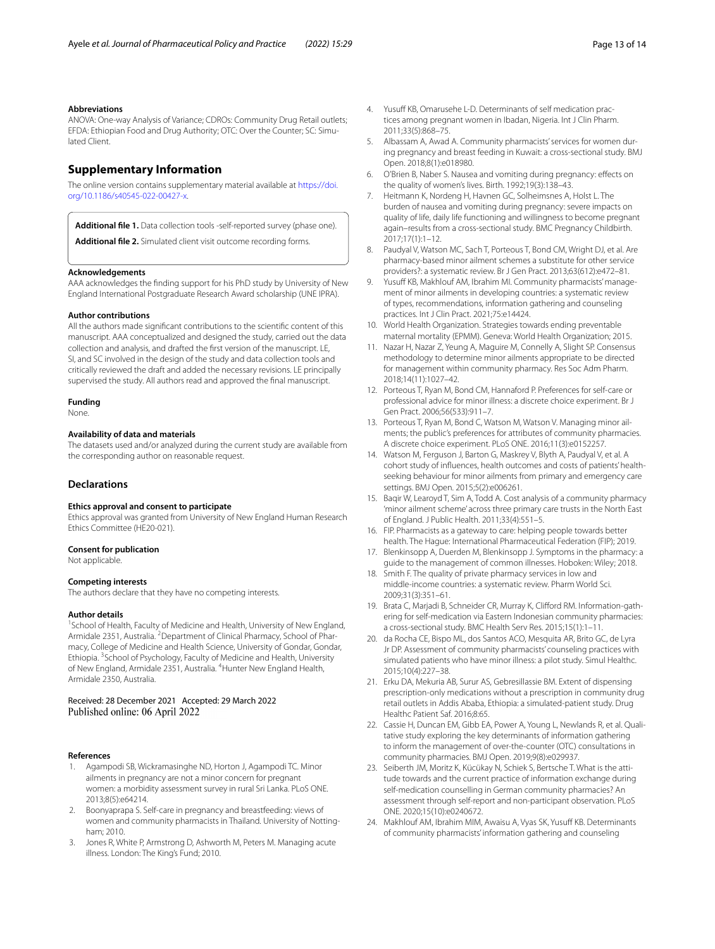#### **Abbreviations**

ANOVA: One-way Analysis of Variance; CDROs: Community Drug Retail outlets; EFDA: Ethiopian Food and Drug Authority; OTC: Over the Counter; SC: Simulated Client.

## **Supplementary Information**

The online version contains supplementary material available at [https://doi.](https://doi.org/10.1186/s40545-022-00427-x) [org/10.1186/s40545-022-00427-x.](https://doi.org/10.1186/s40545-022-00427-x)

<span id="page-12-23"></span><span id="page-12-22"></span>**Additional fle 1.** Data collection tools -self-reported survey (phase one).

**Additional fle 2.** Simulated client visit outcome recording forms.

#### **Acknowledgements**

AAA acknowledges the fnding support for his PhD study by University of New England International Postgraduate Research Award scholarship (UNE IPRA).

#### **Author contributions**

All the authors made signifcant contributions to the scientifc content of this manuscript. AAA conceptualized and designed the study, carried out the data collection and analysis, and drafted the frst version of the manuscript. LE, SI, and SC involved in the design of the study and data collection tools and critically reviewed the draft and added the necessary revisions. LE principally supervised the study. All authors read and approved the fnal manuscript.

## **Funding**

None.

#### **Availability of data and materials**

The datasets used and/or analyzed during the current study are available from the corresponding author on reasonable request.

## **Declarations**

#### **Ethics approval and consent to participate**

Ethics approval was granted from University of New England Human Research Ethics Committee (HE20-021).

#### **Consent for publication**

Not applicable.

#### **Competing interests**

The authors declare that they have no competing interests.

#### **Author details**

<sup>1</sup> School of Health, Faculty of Medicine and Health, University of New England, Armidale 2351, Australia. <sup>2</sup> Department of Clinical Pharmacy, School of Pharmacy, College of Medicine and Health Science, University of Gondar, Gondar, Ethiopia. <sup>3</sup> School of Psychology, Faculty of Medicine and Health, University of New England, Armidale 2351, Australia. <sup>4</sup> Hunter New England Health, Armidale 2350, Australia.

#### Received: 28 December 2021 Accepted: 29 March 2022 Published online: 06 April 2022

#### **References**

- <span id="page-12-0"></span>1. Agampodi SB, Wickramasinghe ND, Horton J, Agampodi TC. Minor ailments in pregnancy are not a minor concern for pregnant women: a morbidity assessment survey in rural Sri Lanka. PLoS ONE. 2013;8(5):e64214.
- <span id="page-12-1"></span>2. Boonyaprapa S. Self-care in pregnancy and breastfeeding: views of women and community pharmacists in Thailand. University of Nottingham; 2010.
- <span id="page-12-2"></span>3. Jones R, White P, Armstrong D, Ashworth M, Peters M. Managing acute illness. London: The King's Fund; 2010.
- <span id="page-12-3"></span>4. Yusuff KB, Omarusehe L-D. Determinants of self medication practices among pregnant women in Ibadan, Nigeria. Int J Clin Pharm. 2011;33(5):868–75.
- <span id="page-12-4"></span>5. Albassam A, Awad A. Community pharmacists' services for women during pregnancy and breast feeding in Kuwait: a cross-sectional study. BMJ Open. 2018;8(1):e018980.
- <span id="page-12-5"></span>6. O'Brien B, Naber S. Nausea and vomiting during pregnancy: efects on the quality of women's lives. Birth. 1992;19(3):138–43.
- <span id="page-12-6"></span>7. Heitmann K, Nordeng H, Havnen GC, Solheimsnes A, Holst L. The burden of nausea and vomiting during pregnancy: severe impacts on quality of life, daily life functioning and willingness to become pregnant again–results from a cross-sectional study. BMC Pregnancy Childbirth. 2017;17(1):1–12.
- <span id="page-12-7"></span>8. Paudyal V, Watson MC, Sach T, Porteous T, Bond CM, Wright DJ, et al. Are pharmacy-based minor ailment schemes a substitute for other service providers?: a systematic review. Br J Gen Pract. 2013;63(612):e472–81.
- <span id="page-12-11"></span>9. Yusuff KB, Makhlouf AM, Ibrahim MI. Community pharmacists' management of minor ailments in developing countries: a systematic review of types, recommendations, information gathering and counseling practices. Int J Clin Pract. 2021;75:e14424.
- <span id="page-12-12"></span>10. World Health Organization. Strategies towards ending preventable maternal mortality (EPMM). Geneva: World Health Organization; 2015.
- <span id="page-12-8"></span>11. Nazar H, Nazar Z, Yeung A, Maguire M, Connelly A, Slight SP. Consensus methodology to determine minor ailments appropriate to be directed for management within community pharmacy. Res Soc Adm Pharm. 2018;14(11):1027–42.
- <span id="page-12-9"></span>12. Porteous T, Ryan M, Bond CM, Hannaford P. Preferences for self-care or professional advice for minor illness: a discrete choice experiment. Br J Gen Pract. 2006;56(533):911–7.
- <span id="page-12-10"></span>13. Porteous T, Ryan M, Bond C, Watson M, Watson V. Managing minor ailments; the public's preferences for attributes of community pharmacies. A discrete choice experiment. PLoS ONE. 2016;11(3):e0152257.
- <span id="page-12-13"></span>14. Watson M, Ferguson J, Barton G, Maskrey V, Blyth A, Paudyal V, et al. A cohort study of infuences, health outcomes and costs of patients' healthseeking behaviour for minor ailments from primary and emergency care settings. BMJ Open. 2015;5(2):e006261.
- <span id="page-12-14"></span>15. Baqir W, Learoyd T, Sim A, Todd A. Cost analysis of a community pharmacy 'minor ailment scheme' across three primary care trusts in the North East of England. J Public Health. 2011;33(4):551–5.
- <span id="page-12-15"></span>16. FIP. Pharmacists as a gateway to care: helping people towards better health. The Hague: International Pharmaceutical Federation (FIP); 2019.
- <span id="page-12-16"></span>17. Blenkinsopp A, Duerden M, Blenkinsopp J. Symptoms in the pharmacy: a guide to the management of common illnesses. Hoboken: Wiley; 2018.
- <span id="page-12-17"></span>18. Smith F. The quality of private pharmacy services in low and middle-income countries: a systematic review. Pharm World Sci. 2009;31(3):351–61.
- <span id="page-12-18"></span>19. Brata C, Marjadi B, Schneider CR, Murray K, Clifford RM. Information-gathering for self-medication via Eastern Indonesian community pharmacies: a cross-sectional study. BMC Health Serv Res. 2015;15(1):1–11.
- <span id="page-12-19"></span>20. da Rocha CE, Bispo ML, dos Santos ACO, Mesquita AR, Brito GC, de Lyra Jr DP. Assessment of community pharmacists' counseling practices with simulated patients who have minor illness: a pilot study. Simul Healthc. 2015;10(4):227–38.
- <span id="page-12-20"></span>21. Erku DA, Mekuria AB, Surur AS, Gebresillassie BM. Extent of dispensing prescription-only medications without a prescription in community drug retail outlets in Addis Ababa, Ethiopia: a simulated-patient study. Drug Healthc Patient Saf. 2016;8:65.
- <span id="page-12-21"></span>22. Cassie H, Duncan EM, Gibb EA, Power A, Young L, Newlands R, et al. Qualitative study exploring the key determinants of information gathering to inform the management of over-the-counter (OTC) consultations in community pharmacies. BMJ Open. 2019;9(8):e029937.
- 23. Seiberth JM, Moritz K, Kücükay N, Schiek S, Bertsche T. What is the attitude towards and the current practice of information exchange during self-medication counselling in German community pharmacies? An assessment through self-report and non-participant observation. PLoS ONE. 2020;15(10):e0240672.
- <span id="page-12-24"></span>24. Makhlouf AM, Ibrahim MIM, Awaisu A, Vyas SK, Yusuff KB. Determinants of community pharmacists' information gathering and counseling